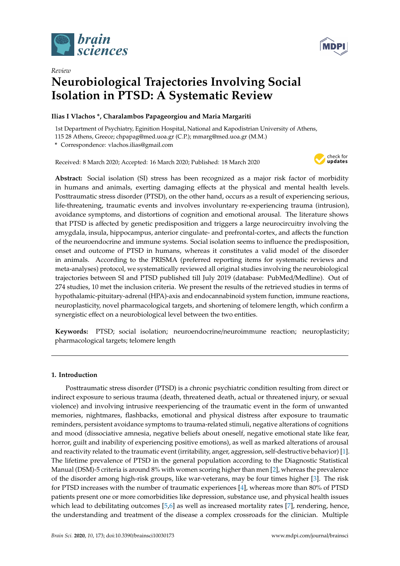



# *Review* **Neurobiological Trajectories Involving Social Isolation in PTSD: A Systematic Review**

# **Ilias I Vlachos \*, Charalambos Papageorgiou and Maria Margariti**

1st Department of Psychiatry, Eginition Hospital, National and Kapodistrian University of Athens,

115 28 Athens, Greece; chpapag@med.uoa.gr (C.P.); mmarg@med.uoa.gr (M.M.)

**\*** Correspondence: vlachos.ilias@gmail.com

Received: 8 March 2020; Accepted: 16 March 2020; Published: 18 March 2020



**Abstract:** Social isolation (SI) stress has been recognized as a major risk factor of morbidity in humans and animals, exerting damaging effects at the physical and mental health levels. Posttraumatic stress disorder (PTSD), on the other hand, occurs as a result of experiencing serious, life-threatening, traumatic events and involves involuntary re-experiencing trauma (intrusion), avoidance symptoms, and distortions of cognition and emotional arousal. The literature shows that PTSD is affected by genetic predisposition and triggers a large neurocircuitry involving the amygdala, insula, hippocampus, anterior cingulate- and prefrontal-cortex, and affects the function of the neuroendocrine and immune systems. Social isolation seems to influence the predisposition, onset and outcome of PTSD in humans, whereas it constitutes a valid model of the disorder in animals. According to the PRISMA (preferred reporting items for systematic reviews and meta-analyses) protocol, we systematically reviewed all original studies involving the neurobiological trajectories between SI and PTSD published till July 2019 (database: PubMed/Medline). Out of 274 studies, 10 met the inclusion criteria. We present the results of the retrieved studies in terms of hypothalamic-pituitary-adrenal (HPA)-axis and endocannabinoid system function, immune reactions, neuroplasticity, novel pharmacological targets, and shortening of telomere length, which confirm a synergistic effect on a neurobiological level between the two entities.

**Keywords:** PTSD; social isolation; neuroendocrine/neuroimmune reaction; neuroplasticity; pharmacological targets; telomere length

# **1. Introduction**

Posttraumatic stress disorder (PTSD) is a chronic psychiatric condition resulting from direct or indirect exposure to serious trauma (death, threatened death, actual or threatened injury, or sexual violence) and involving intrusive reexperiencing of the traumatic event in the form of unwanted memories, nightmares, flashbacks, emotional and physical distress after exposure to traumatic reminders, persistent avoidance symptoms to trauma-related stimuli, negative alterations of cognitions and mood (dissociative amnesia, negative beliefs about oneself, negative emotional state like fear, horror, guilt and inability of experiencing positive emotions), as well as marked alterations of arousal and reactivity related to the traumatic event (irritability, anger, aggression, self-destructive behavior) [\[1\]](#page-11-0). The lifetime prevalence of PTSD in the general population according to the Diagnostic Statistical Manual (DSM)-5 criteria is around 8% with women scoring higher than men [\[2\]](#page-11-1), whereas the prevalence of the disorder among high-risk groups, like war-veterans, may be four times higher [\[3\]](#page-11-2). The risk for PTSD increases with the number of traumatic experiences [\[4\]](#page-11-3), whereas more than 80% of PTSD patients present one or more comorbidities like depression, substance use, and physical health issues which lead to debilitating outcomes [\[5,](#page-11-4)[6\]](#page-11-5) as well as increased mortality rates [\[7\]](#page-12-0), rendering, hence, the understanding and treatment of the disease a complex crossroads for the clinician. Multiple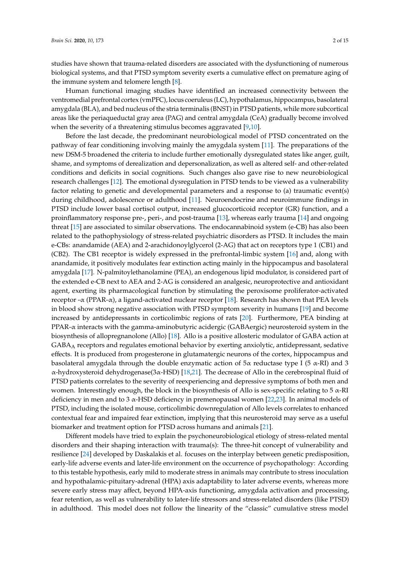studies have shown that trauma-related disorders are associated with the dysfunctioning of numerous biological systems, and that PTSD symptom severity exerts a cumulative effect on premature aging of the immune system and telomere length [\[8\]](#page-12-1).

Human functional imaging studies have identified an increased connectivity between the ventromedial prefrontal cortex (vmPFC), locus coeruleus (LC), hypothalamus, hippocampus, basolateral amygdala (BLA), and bed nucleus of the stria terminalis (BNST) in PTSD patients, while more subcortical areas like the periaqueductal gray area (PAG) and central amygdala (CeA) gradually become involved when the severity of a threatening stimulus becomes aggravated [\[9,](#page-12-2)[10\]](#page-12-3).

Before the last decade, the predominant neurobiological model of PTSD concentrated on the pathway of fear conditioning involving mainly the amygdala system [\[11\]](#page-12-4). The preparations of the new DSM-5 broadened the criteria to include further emotionally dysregulated states like anger, guilt, shame, and symptoms of derealization and depersonalization, as well as altered self- and other-related conditions and deficits in social cognitions. Such changes also gave rise to new neurobiological research challenges [\[12\]](#page-12-5). The emotional dysregulation in PTSD tends to be viewed as a vulnerability factor relating to genetic and developmental parameters and a response to (a) traumatic event(s) during childhood, adolescence or adulthood [\[11\]](#page-12-4). Neuroendocrine and neuroimmune findings in PTSD include lower basal cortisol output, increased glucocorticoid receptor (GR) function, and a proinflammatory response pre-, peri-, and post-trauma [\[13\]](#page-12-6), whereas early trauma [\[14\]](#page-12-7) and ongoing threat [\[15\]](#page-12-8) are associated to similar observations. The endocannabinoid system (e-CB) has also been related to the pathophysiology of stress-related psychiatric disorders as PTSD. It includes the main e-CBs: anandamide (AEA) and 2-arachidonoylglycerol (2-AG) that act on receptors type 1 (CB1) and (CB2). The CB1 receptor is widely expressed in the prefrontal-limbic system [\[16\]](#page-12-9) and, along with anandamide, it positively modulates fear extinction acting mainly in the hippocampus and basolateral amygdala [\[17\]](#page-12-10). N-palmitoylethanolamine (PEA), an endogenous lipid modulator, is considered part of the extended e-CB next to AEA and 2-AG is considered an analgesic, neuroprotective and antioxidant agent, exerting its pharmacological function by stimulating the peroxisome proliferator-activated receptor -α (PPAR-α), a ligand-activated nuclear receptor [\[18\]](#page-12-11). Research has shown that PEA levels in blood show strong negative association with PTSD symptom severity in humans [\[19\]](#page-12-12) and become increased by antidepressants in corticolimbic regions of rats [\[20\]](#page-12-13). Furthermore, PEA binding at PPAR-α interacts with the gamma-aminobutyric acidergic (GABAergic) neurosteroid system in the biosynthesis of allopregnanolone (Allo) [\[18\]](#page-12-11). Allo is a positive allosteric modulator of GABA action at GABA<sup>A</sup> receptors and regulates emotional behavior by exerting anxiolytic, antidepressant, sedative effects. It is produced from progesterone in glutamatergic neurons of the cortex, hippocampus and basolateral amygdala through the double enzymatic action of  $5\alpha$  reductase type I (5  $\alpha$ -RI) and 3 α-hydroxysteroid dehydrogenase(3α-HSD) [\[18,](#page-12-11)[21\]](#page-12-14). The decrease of Allo in the cerebrospinal fluid of PTSD patients correlates to the severity of reexperiencing and depressive symptoms of both men and women. Interestingly enough, the block in the biosynthesis of Allo is sex-specific relating to 5  $\alpha$ -RI deficiency in men and to 3 α-HSD deficiency in premenopausal women [\[22](#page-12-15)[,23\]](#page-12-16). In animal models of PTSD, including the isolated mouse, corticolimbic downregulation of Allo levels correlates to enhanced contextual fear and impaired fear extinction, implying that this neurosteroid may serve as a useful biomarker and treatment option for PTSD across humans and animals [\[21\]](#page-12-14).

Different models have tried to explain the psychoneurobiological etiology of stress-related mental disorders and their shaping interaction with trauma(s): The three-hit concept of vulnerability and resilience [\[24\]](#page-12-17) developed by Daskalakis et al. focuses on the interplay between genetic predisposition, early-life adverse events and later-life environment on the occurrence of psychopathology: According to this testable hypothesis, early mild to moderate stress in animals may contribute to stress inoculation and hypothalamic-pituitary-adrenal (HPA) axis adaptability to later adverse events, whereas more severe early stress may affect, beyond HPA-axis functioning, amygdala activation and processing, fear retention, as well as vulnerability to later-life stressors and stress-related disorders (like PTSD) in adulthood. This model does not follow the linearity of the "classic" cumulative stress model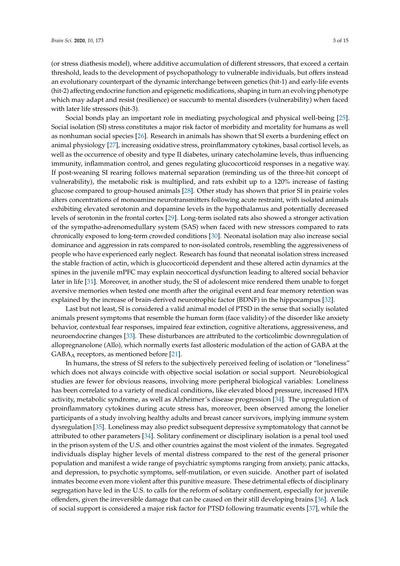(or stress diathesis model), where additive accumulation of different stressors, that exceed a certain threshold, leads to the development of psychopathology to vulnerable individuals, but offers instead an evolutionary counterpart of the dynamic interchange between genetics (hit-1) and early-life events (hit-2) affecting endocrine function and epigenetic modifications, shaping in turn an evolving phenotype which may adapt and resist (resilience) or succumb to mental disorders (vulnerability) when faced with later life stressors (hit-3).

Social bonds play an important role in mediating psychological and physical well-being [\[25\]](#page-12-18). Social isolation (SI) stress constitutes a major risk factor of morbidity and mortality for humans as well as nonhuman social species [\[26\]](#page-12-19). Research in animals has shown that SI exerts a burdening effect on animal physiology [\[27\]](#page-12-20), increasing oxidative stress, proinflammatory cytokines, basal cortisol levels, as well as the occurrence of obesity and type II diabetes, urinary catecholamine levels, thus influencing immunity, inflammation control, and genes regulating glucocorticoid responses in a negative way. If post-weaning SI rearing follows maternal separation (reminding us of the three-hit concept of vulnerability), the metabolic risk is multiplied, and rats exhibit up to a 120% increase of fasting glucose compared to group-housed animals [\[28\]](#page-13-0). Other study has shown that prior SI in prairie voles alters concentrations of monoamine neurotransmitters following acute restraint, with isolated animals exhibiting elevated serotonin and dopamine levels in the hypothalamus and potentially decreased levels of serotonin in the frontal cortex [\[29\]](#page-13-1). Long-term isolated rats also showed a stronger activation of the sympatho-adrenomedullary system (SAS) when faced with new stressors compared to rats chronically exposed to long-term crowded conditions [\[30\]](#page-13-2). Neonatal isolation may also increase social dominance and aggression in rats compared to non-isolated controls, resembling the aggressiveness of people who have experienced early neglect. Research has found that neonatal isolation stress increased the stable fraction of actin, which is glucocorticoid dependent and these altered actin dynamics at the spines in the juvenile mPFC may explain neocortical dysfunction leading to altered social behavior later in life [\[31\]](#page-13-3). Moreover, in another study, the SI of adolescent mice rendered them unable to forget aversive memories when tested one month after the original event and fear memory retention was explained by the increase of brain-derived neurotrophic factor (BDNF) in the hippocampus [\[32\]](#page-13-4).

Last but not least, SI is considered a valid animal model of PTSD in the sense that socially isolated animals present symptoms that resemble the human form (face validity) of the disorder like anxiety behavior, contextual fear responses, impaired fear extinction, cognitive alterations, aggressiveness, and neuroendocrine changes [\[33\]](#page-13-5). These disturbances are attributed to the corticolimbic downregulation of allopregnanolone (Allo), which normally exerts fast allosteric modulation of the action of GABA at the  $GABA_A$  receptors, as mentioned before [\[21\]](#page-12-14).

In humans, the stress of SI refers to the subjectively perceived feeling of isolation or "loneliness" which does not always coincide with objective social isolation or social support. Neurobiological studies are fewer for obvious reasons, involving more peripheral biological variables: Loneliness has been correlated to a variety of medical conditions, like elevated blood pressure, increased HPA activity, metabolic syndrome, as well as Alzheimer's disease progression [\[34\]](#page-13-6). The upregulation of proinflammatory cytokines during acute stress has, moreover, been observed among the lonelier participants of a study involving healthy adults and breast cancer survivors, implying immune system dysregulation [\[35\]](#page-13-7). Loneliness may also predict subsequent depressive symptomatology that cannot be attributed to other parameters [\[34\]](#page-13-6). Solitary confinement or disciplinary isolation is a penal tool used in the prison system of the U.S. and other countries against the most violent of the inmates. Segregated individuals display higher levels of mental distress compared to the rest of the general prisoner population and manifest a wide range of psychiatric symptoms ranging from anxiety, panic attacks, and depression, to psychotic symptoms, self-mutilation, or even suicide. Another part of isolated inmates become even more violent after this punitive measure. These detrimental effects of disciplinary segregation have led in the U.S. to calls for the reform of solitary confinement, especially for juvenile offenders, given the irreversible damage that can be caused on their still developing brains [\[36\]](#page-13-8). A lack of social support is considered a major risk factor for PTSD following traumatic events [\[37\]](#page-13-9), while the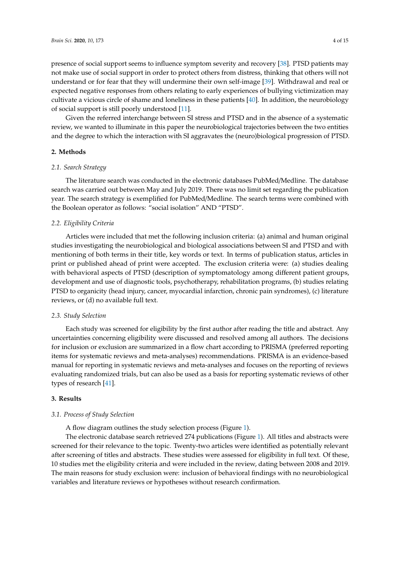presence of social support seems to influence symptom severity and recovery [\[38\]](#page-13-10). PTSD patients may not make use of social support in order to protect others from distress, thinking that others will not understand or for fear that they will undermine their own self-image [\[39\]](#page-13-11). Withdrawal and real or expected negative responses from others relating to early experiences of bullying victimization may cultivate a vicious circle of shame and loneliness in these patients [\[40\]](#page-13-12). In addition, the neurobiology of social support is still poorly understood [\[11\]](#page-12-4).

Given the referred interchange between SI stress and PTSD and in the absence of a systematic review, we wanted to illuminate in this paper the neurobiological trajectories between the two entities and the degree to which the interaction with SI aggravates the (neuro)biological progression of PTSD.

# **2. Methods**

# *2.1. Search Strategy*

The literature search was conducted in the electronic databases PubMed/Medline. The database search was carried out between May and July 2019. There was no limit set regarding the publication year. The search strategy is exemplified for PubMed/Medline. The search terms were combined with the Boolean operator as follows: "social isolation" AND "PTSD".

# *2.2. Eligibility Criteria*

Articles were included that met the following inclusion criteria: (a) animal and human original studies investigating the neurobiological and biological associations between SI and PTSD and with mentioning of both terms in their title, key words or text. In terms of publication status, articles in print or published ahead of print were accepted. The exclusion criteria were: (a) studies dealing with behavioral aspects of PTSD (description of symptomatology among different patient groups, development and use of diagnostic tools, psychotherapy, rehabilitation programs, (b) studies relating PTSD to organicity (head injury, cancer, myocardial infarction, chronic pain syndromes), (c) literature reviews, or (d) no available full text.

### *2.3. Study Selection*

Each study was screened for eligibility by the first author after reading the title and abstract. Any uncertainties concerning eligibility were discussed and resolved among all authors. The decisions for inclusion or exclusion are summarized in a flow chart according to PRISMA (preferred reporting items for systematic reviews and meta-analyses) recommendations. PRISMA is an evidence-based manual for reporting in systematic reviews and meta-analyses and focuses on the reporting of reviews evaluating randomized trials, but can also be used as a basis for reporting systematic reviews of other types of research [\[41\]](#page-13-13).

# **3. Results**

# *3.1. Process of Study Selection*

A flow diagram outlines the study selection process (Figure [1\)](#page-4-0).

The electronic database search retrieved 274 publications (Figure [1\)](#page-4-0). All titles and abstracts were screened for their relevance to the topic. Twenty-two articles were identified as potentially relevant after screening of titles and abstracts. These studies were assessed for eligibility in full text. Of these, 10 studies met the eligibility criteria and were included in the review, dating between 2008 and 2019. The main reasons for study exclusion were: inclusion of behavioral findings with no neurobiological variables and literature reviews or hypotheses without research confirmation.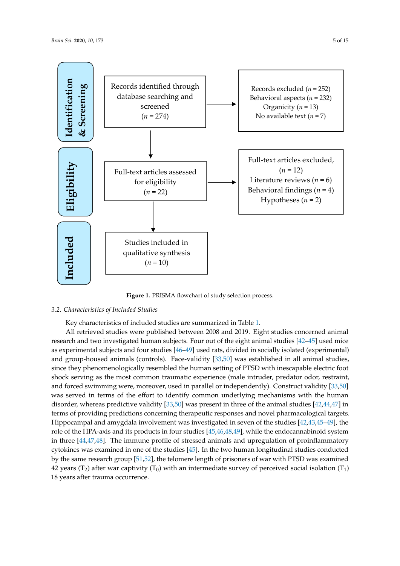<span id="page-4-0"></span>

**Figure 1.** PRISMA flowchart of study selection process. **Figure 1.** PRISMA flowchart of study selection process.

## *3.2. Characteristics of Included Studies*

*3.2. Characteristics of Included Studies.*  Key characteristics of included studies are summarized in Table [1.](#page-8-0)

Ney characteristics of included studies are summarized in Table 1.<br>All retrieved studies were published between 2008 and 2019. Eight studies concerned animal research and two investigated human subjects. Four out of the eight animal studies [\[42](#page-13-14)[–45\]](#page-13-15) used mice as experimental subjects and four studies  $[46-49]$  $[46-49]$  used rats, divided in socially isolated (experimental)  $\overline{a}$ and group-housed animals (controls). Face-validity [\[33,](#page-13-5)[50\]](#page-14-1) was established in all animal studies, and groupsince they phenomenologically resembled the human setting of PTSD with inescapable electric foot shock serving as the most common traumatic experience (male intruder, predator odor, restraint, and forced swimming were, moreover, used in parallel or independently). Construct validity [\[33](#page-13-5)[,50\]](#page-14-1) was served in terms of the effort to identify common underlying mechanisms with the human disorder, whereas predictive validity  $[33,50]$  $[33,50]$  was present in three of the animal studies  $[42,44,47]$  $[42,44,47]$  $[42,44,47]$  in terms of providing predictions concerning therapeutic responses and novel pharmacological targets.<br>The HPA-1990 studies was also the HPA-1990 studies was also the HPA-1990 studies was also the HPA-1990 studies Hippocampal and amygdala involvement was investigated in seven of the studies  $[42,43,45-49]$  $[42,43,45-49]$  $[42,43,45-49]$  $[42,43,45-49]$ , the role of the HPA-axis and its products in four studies  $[45,46,48,49]$  $[45,46,48,49]$  $[45,46,48,49]$  $[45,46,48,49]$ , while the endocannabinoid system in three [\[44](#page-13-17)[,47](#page-14-2)[,48\]](#page-14-3). The immune profile of stressed animals and upregulation of proinflammatory cytokines was examined in one of the studies  $[45]$ . In the two human longitudinal studies conducted  $\frac{1}{2}$ by the same research group [\[51](#page-14-4)[,52\]](#page-14-5), the telomere length of prisoners of war with PTSD was examined  $\sim$ 42 years (T<sub>2</sub>) after war captivity (T<sub>0</sub>) with an intermediate survey of perceived social isolation (T<sub>1</sub>) 18 years after trauma occurrence.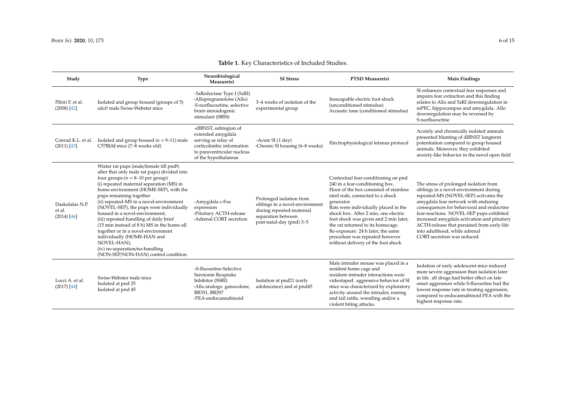| <b>Table 1.</b> Key Characteristics of Included Studies. |  |
|----------------------------------------------------------|--|
|----------------------------------------------------------|--|

| Study                                      | <b>Type</b>                                                                                                                                                                                                                                                                                                                                                                                                                                                                                                                                                                                                                | Neurobiological<br>Measure(s)                                                                                                                       | <b>SI</b> Stress                                                                                                                          | PTSD Measure(s)                                                                                                                                                                                                                                                                                                                                                                                                                                | <b>Main Findings</b>                                                                                                                                                                                                                                                                                                                                                                                                    |
|--------------------------------------------|----------------------------------------------------------------------------------------------------------------------------------------------------------------------------------------------------------------------------------------------------------------------------------------------------------------------------------------------------------------------------------------------------------------------------------------------------------------------------------------------------------------------------------------------------------------------------------------------------------------------------|-----------------------------------------------------------------------------------------------------------------------------------------------------|-------------------------------------------------------------------------------------------------------------------------------------------|------------------------------------------------------------------------------------------------------------------------------------------------------------------------------------------------------------------------------------------------------------------------------------------------------------------------------------------------------------------------------------------------------------------------------------------------|-------------------------------------------------------------------------------------------------------------------------------------------------------------------------------------------------------------------------------------------------------------------------------------------------------------------------------------------------------------------------------------------------------------------------|
| Pibiri F. et al.<br>$(2008)$ [42]          | Isolated and group housed (groups of 5)<br>adult male Swiss-Webster mice                                                                                                                                                                                                                                                                                                                                                                                                                                                                                                                                                   | -5aReductase Type I (5aRI)<br>-Allopregnanolone (Allo)<br>-S-norfluoxetine, selective<br>brain steroidogenic<br>stimulant (SBSS)                    | 3-4 weeks of isolation of the<br>experimental group                                                                                       | Inescapable electric foot shock<br>(unconditioned stimulus)<br>Acoustic tone (conditioned stimulus)                                                                                                                                                                                                                                                                                                                                            | SI enhances contextual fear responses and<br>impairs fear extinction and this finding<br>relates to Allo and 5aRI downregulation in<br>mPFC, hippocampus and amygdala. Allo<br>downregulation may be reversed by<br>S-norfluoxetine                                                                                                                                                                                     |
| Conrad K.L. et al.<br>$(2011)$ [43]        | Isolated and group housed ( $n = 9-11$ ) male<br>C57Bl/6J mice (7-8 weeks old)                                                                                                                                                                                                                                                                                                                                                                                                                                                                                                                                             | -dlBNST, subregion of<br>extended amygdala<br>serving as relay of<br>corticolimbic information<br>to paraventricular nucleus<br>of the hypothalamus | -Acute SI (1 day)<br>-Chronic SI housing (6–8 weeks)                                                                                      | Electrophysiological tetanus protocol                                                                                                                                                                                                                                                                                                                                                                                                          | Acutely and chronically isolated animals<br>presented blunting of dlBNST longterm<br>potentiation compared to group housed<br>animals. Moreover, they exhibited<br>anxiety-like behavior in the novel open field                                                                                                                                                                                                        |
| Daskalakis N.P.<br>et al.<br>$(2014)$ [46] | Wistar rat pups (male/female till pnd9,<br>after that only male rat pups) divided into<br>four groups ( $n = 8-10$ per group)<br>(i) repeated maternal separation (MS) in<br>home-environment (HOME-SEP), with the<br>pups remaining together<br>(ii) repeated-MS in a novel-environment<br>(NOVEL-SEP), the pups were individually<br>housed in a novel-environment;<br>(iii) repeated handling of daily brief<br>(15 min instead of 8 h) MS in the home-all<br>together or in a novel-environment<br>individually (HOME-HAN and<br>NOVEL-HAN);<br>(iv) no-separation/no-handling<br>(NON-SEP/NON-HAN) control condition. | -Amygdala c-Fos<br>expression<br>-Pituitary ACTH-release<br>-Adrenal CORT secretion                                                                 | Prolonged isolation from<br>siblings in a novel-environment<br>during repeated-maternal<br>separation between<br>post-natal-day (pnd) 3-5 | Contextual fear-conditioning on pnd<br>240 in a fear-conditioning box.<br>Floor of the box consisted of stainless<br>steel rods, connected to a shock<br>generator.<br>Rats were individually placed in the<br>shock box. After 2 min, one electric<br>foot shock was given and 2 min later,<br>the rat returned to its homecage.<br>Re-exposure: 24 h later, the same<br>procedure was repeated however<br>without delivery of the foot shock | The stress of prolonged isolation from<br>siblings in a novel-environment during<br>repeated-MS (NOVEL-SEP) activates the<br>amygdala fear network with enduring<br>consequences for behavioral and endocrine<br>fear-reactions. NOVEL-SEP pups exhibited<br>increased amygdala activation and pituitary<br>ACTH-release that persisted from early-life<br>into adulthood, while adrenal<br>CORT-secretion was reduced. |
| Locci A. et al.<br>$(2017)$ [44]           | Swiss-Webster male mice<br>Isolated at pnd 25<br>Isolated at pnd 45                                                                                                                                                                                                                                                                                                                                                                                                                                                                                                                                                        | -S-fluoxetine-Selective<br>Serotonin Reuptake<br>Inhibitor (SSRI)<br>-Allo analogs: ganaxolone,<br>BR351, BR297<br>-PEA-endocannabinoid             | Isolation at pnd21 (early<br>adolescence) and at pnd45                                                                                    | Male intruder mouse was placed in a<br>resident home cage and<br>resident-intruder interactions were<br>videotaped. aggressive behavior of SI<br>mice was characterized by exploratory<br>activity around the intruder, rearing<br>and tail rattle, wrestling and/or a<br>violent biting attacks.                                                                                                                                              | Isolation of early adolescent mice induced<br>more severe aggression than isolation later<br>in life. all drugs had better effect on late<br>onset aggression while S-fluoxetine had the<br>lowest response rate in treating aggression,<br>compared to endocannabinoid PEA with the<br>highest response rate.                                                                                                          |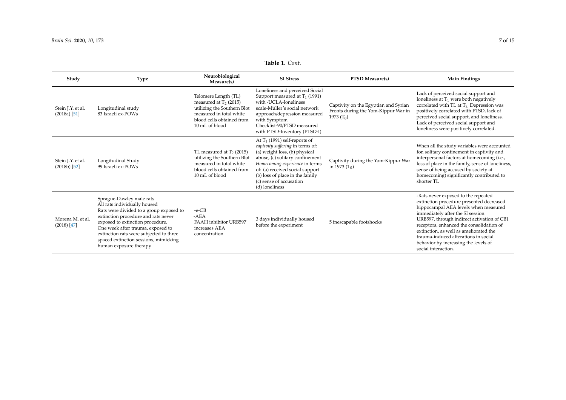# **Table 1.** *Cont.*

| Study                               | <b>Type</b>                                                                                                                                                                                                                                                                                                                       | Neurobiological<br>Measure(s)                                                                                                                             | <b>SI</b> Stress                                                                                                                                                                                                                                                                             | PTSD Measure(s)                                                                             | <b>Main Findings</b>                                                                                                                                                                                                                                                                                                                                                                                   |
|-------------------------------------|-----------------------------------------------------------------------------------------------------------------------------------------------------------------------------------------------------------------------------------------------------------------------------------------------------------------------------------|-----------------------------------------------------------------------------------------------------------------------------------------------------------|----------------------------------------------------------------------------------------------------------------------------------------------------------------------------------------------------------------------------------------------------------------------------------------------|---------------------------------------------------------------------------------------------|--------------------------------------------------------------------------------------------------------------------------------------------------------------------------------------------------------------------------------------------------------------------------------------------------------------------------------------------------------------------------------------------------------|
| Stein J.Y. et al.<br>$(2018a)$ [51] | Longitudinal study<br>83 Israeli ex-POWs                                                                                                                                                                                                                                                                                          | Telomere Length (TL)<br>measured at $T_2$ (2015)<br>utilizing the Southern Blot<br>measured in total white<br>blood cells obtained from<br>10 mL of blood | Loneliness and perceived Social<br>Support measured at $T_1$ (1991)<br>with -UCLA-loneliness<br>scale-Müller's social network<br>approach/depression measured<br>with Symptom<br>Checklist-90/PTSD measured<br>with PTSD-Inventory (PTSD-I)                                                  | Captivity on the Egyptian and Syrian<br>Fronts during the Yom-Kippur War in<br>1973 $(T_0)$ | Lack of perceived social support and<br>loneliness at $T_1$ were both negatively<br>correlated with TL at T <sub>2</sub> . Depression was<br>positively correlated with PTSD, lack of<br>perceived social support, and loneliness.<br>Lack of perceived social support and<br>loneliness were positively correlated.                                                                                   |
| Stein J.Y. et al.<br>$(2018b)$ [52] | Longitudinal Study<br>99 Israeli ex-POWs                                                                                                                                                                                                                                                                                          | TL measured at $T2$ (2015)<br>utilizing the Southern Blot<br>measured in total white<br>blood cells obtained from<br>10 mL of blood                       | At $T_1$ (1991) self-reports of<br>captivity suffering in terms of:<br>(a) weight loss, (b) physical<br>abuse, (c) solitary confinement<br>Homecoming experience in terms<br>of: (a) received social support<br>(b) loss of place in the family<br>(c) sense of accusation<br>(d) loneliness | Captivity during the Yom-Kippur War<br>in 1973 $(T_0)$                                      | When all the study variables were accounted<br>for, solitary confinement in captivity and<br>interpersonal factors at homecoming (i.e.,<br>loss of place in the family, sense of loneliness,<br>sense of being accused by society at<br>homecoming) significantly contributed to<br>shorter TL                                                                                                         |
| Morena M. et al.<br>$(2018)$ [47]   | Sprague-Dawley male rats<br>All rats individually housed<br>Rats were divided to a group exposed to<br>extinction procedure and rats never<br>exposed to extinction procedure.<br>One week after trauma, exposed to<br>extinction rats were subjected to three<br>spaced extinction sessions, mimicking<br>human exposure therapy | $-e$ -CB<br>$-AEA$<br>FAAH inhibitor URB597<br>increases AEA<br>concentration                                                                             | 3 days individually housed<br>before the experiment                                                                                                                                                                                                                                          | 5 inescapable footshocks                                                                    | -Rats never exposed to the repeated<br>extinction procedure presented decreased<br>hippocampal AEA levels when measured<br>immediately after the SI session<br>URB597, through indirect activation of CB1<br>receptors, enhanced the consolidation of<br>extinction, as well as ameliorated the<br>trauma-induced alterations in social<br>behavior by increasing the levels of<br>social interaction. |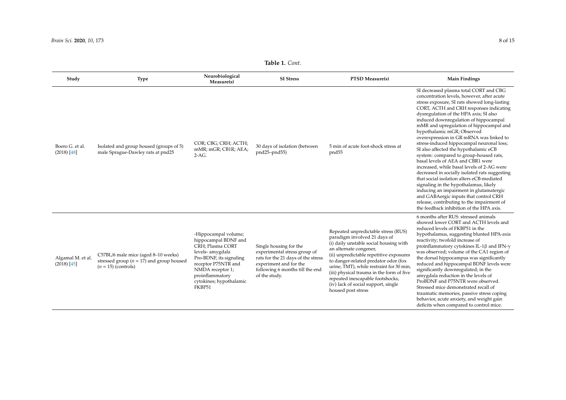| Study                              | <b>Type</b>                                                                                                  | Neurobiological<br>Measure(s)                                                                                                                                                                                      | <b>SI</b> Stress                                                                                                                                                           | PTSD Measure(s)                                                                                                                                                                                                                                                                                                                                                                                                      | <b>Main Findings</b>                                                                                                                                                                                                                                                                                                                                                                                                                                                                                                                                                                                                                                                                                                                                                                                                                                                                                                            |
|------------------------------------|--------------------------------------------------------------------------------------------------------------|--------------------------------------------------------------------------------------------------------------------------------------------------------------------------------------------------------------------|----------------------------------------------------------------------------------------------------------------------------------------------------------------------------|----------------------------------------------------------------------------------------------------------------------------------------------------------------------------------------------------------------------------------------------------------------------------------------------------------------------------------------------------------------------------------------------------------------------|---------------------------------------------------------------------------------------------------------------------------------------------------------------------------------------------------------------------------------------------------------------------------------------------------------------------------------------------------------------------------------------------------------------------------------------------------------------------------------------------------------------------------------------------------------------------------------------------------------------------------------------------------------------------------------------------------------------------------------------------------------------------------------------------------------------------------------------------------------------------------------------------------------------------------------|
| Boero G. et al.<br>$(2018)$ [48]   | Isolated and group housed (groups of 5)<br>male Sprague-Dawley rats at pnd25                                 | COR; CBG; CRH; ACTH;<br>mMR; mGR; CB1R; AEA;<br>$2-AG.$                                                                                                                                                            | 30 days of isolation (between<br>pnd25-pnd55)                                                                                                                              | 5 min of acute foot-shock stress at<br>pnd <sub>55</sub>                                                                                                                                                                                                                                                                                                                                                             | SI decreased plasma total CORT and CBG<br>concentration levels, however, after acute<br>stress exposure, SI rats showed long-lasting<br>CORT, ACTH and CRH responses indicating<br>dysregulation of the HPA axis; SI also<br>induced downregulation of hippocampal<br>mMR and upregulation of hippocampal and<br>hypothalamic mGR; Observed<br>overexpression in GR mRNA was linked to<br>stress-induced hippocampal neuronal loss;<br>SI also affected the hypothalamic eCB<br>system: compared to group-housed rats,<br>basal levels of AEA and CBR1 were<br>increased, while basal levels of 2-AG were<br>decreased in socially isolated rats suggesting<br>that social isolation alters eCB-mediated<br>signaling in the hypothalamus, likely<br>inducing an impairment in glutamatergic<br>and GABAergic inputs that control CRH<br>release, contributing to the impairment of<br>the feedback inhibition of the HPA axis. |
| Algamal M. et al.<br>$(2018)$ [45] | C57BL/6 male mice (aged 8-10 weeks)<br>stressed group ( $n = 17$ ) and group housed<br>$(n = 15)$ (controls) | -Hippocampal volume;<br>hippocampal BDNF and<br>CRH; Plasma CORT<br>levels- amygdala<br>Pro-BDNF, its signaling<br>receptor P75NTR and<br>NMDA receptor 1;<br>proinflammatory<br>cytokines; hypothalamic<br>FKBP51 | Single housing for the<br>experimental stress group of<br>rats for the 21 days of the stress<br>experiment and for the<br>following 6 months till the end<br>of the study. | Repeated unpredictable stress (RUS)<br>paradigm involved 21 days of<br>(i) daily unstable social housing with<br>an alternate congener,<br>(ii) unpredictable repetitive exposures<br>to danger-related predator odor (fox<br>urine, TMT), while restraint for 30 min,<br>(iii) physical trauma in the form of five<br>repeated inescapable footshocks,<br>(iv) lack of social support, single<br>housed post stress | 6 months after RUS: stressed animals<br>showed lower CORT and ACTH levels and<br>reduced levels of FKBP51 in the<br>hypothalamus, suggesting blunted HPA-axis<br>reactivity; twofold increase of<br>proinflammatory cytokines IL-1 $\beta$ and IFN- $\gamma$<br>was observed; volume of the CA1 region of<br>the dorsal hippocampus was significantly<br>reduced and hippocampal BDNF levels were<br>significantly downregulated; in the<br>amygdala reduction in the levels of<br>ProBDNF and P75NTR were observed.<br>Stressed mice demonstrated recall of<br>traumatic memories, passive stress coping<br>behavior, acute anxiety, and weight gain<br>deficits when compared to control mice.                                                                                                                                                                                                                                |

# **Table 1.** *Cont.*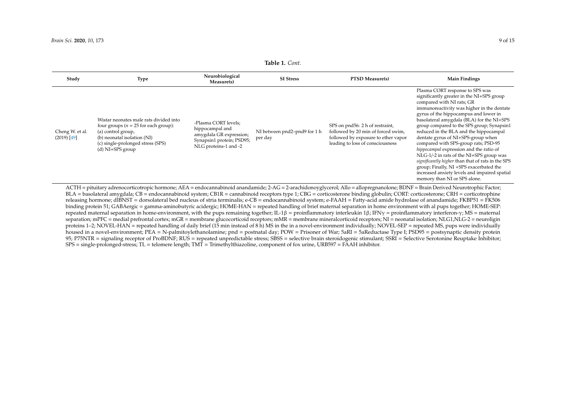| Study                            | Type                                                                                                                                                                                              | Neurobiological<br>Measure(s)                                                                                            | <b>SI Stress</b>                        | <b>PTSD Measure(s)</b>                                                                                                                           | <b>Main Findings</b>                                                                                                                                                                                                                                                                                                                                                                                                                                                                                                                                                                                                                                                                        |
|----------------------------------|---------------------------------------------------------------------------------------------------------------------------------------------------------------------------------------------------|--------------------------------------------------------------------------------------------------------------------------|-----------------------------------------|--------------------------------------------------------------------------------------------------------------------------------------------------|---------------------------------------------------------------------------------------------------------------------------------------------------------------------------------------------------------------------------------------------------------------------------------------------------------------------------------------------------------------------------------------------------------------------------------------------------------------------------------------------------------------------------------------------------------------------------------------------------------------------------------------------------------------------------------------------|
| Cheng W. et al.<br>$(2019)$ [49] | Wistar neonates male rats divided into<br>four groups ( $n = 25$ for each group):<br>(a) control group,<br>(b) neonatal isolation (NI)<br>(c) single-prolonged stress (SPS)<br>$(d)$ NI+SPS group | -Plasma CORT levels;<br>hippocampal and<br>amygdala GR expression;<br>Synapsin1 protein; PSD95;<br>NLG proteins-1 and -2 | NI between pnd2-pnd9 for 1 h<br>per day | SPS on pnd56: 2 h of restraint,<br>followed by 20 min of forced swim,<br>followed by exposure to ether vapor<br>leading to loss of consciousness | Plasma CORT response to SPS was<br>significantly greater in the NI+SPS group<br>compared with NI rats; GR<br>immunoreactivity was higher in the dentate<br>gyrus of the hippocampus and lower in<br>basolateral amygdala (BLA) for the NI+SPS<br>group compared to the SPS group; Synapsin1<br>reduced in the BLA and the hippocampal<br>dentate gyrus of NI+SPS-group when<br>compared with SPS-group rats; PSD-95<br>hippocampal expression and the ratio of<br>NLG-1/-2 in rats of the NI+SPS group was<br>significantly higher than that of rats in the SPS<br>group; Finally, NI +SPS exacerbated the<br>increased anxiety levels and impaired spatial<br>memory than NI or SPS alone. |

#### **Table 1.** *Cont.*

<span id="page-8-0"></span>BLA = basolateral amygdala; CB = endocannabinoid system; CB1R = cannabinoid receptors type 1; CBG = corticosterone binding globulin; CORT: corticosterone; CRH = corticotrophine releasing hormone; dlBNST = dorsolateral bed nucleus of stria terminalis; e-CB = endocannabinoid system; e-FAAH = Fatty-acid amide hydrolase of anandamide; FKBP51 = FK506 binding protein 51; GABAergic = gamma-aminobutyric acidergic; HOME-HAN = repeated handling of brief maternal separation in home environment with al pups together; HOME-SEP: repeated maternal separation in home-environment, with the pups remaining together; IL-1β = proinflammatory interleukin 1β; IFNγ = proinflammatory interferon-γ; MS = maternal separation; mPFC = medial prefrontal cortex; mGR = membrane glucocorticoid receptors; mMR = membrane mineralcorticoid receptors; NI = neonatal isolation; NLG1,NLG-2 = neuroligin proteins 1–2; NOVEL-HAN = repeated handling of daily brief (15 min instead of 8 h) MS in the in a novel-environment individually; NOVEL-SEP = repeated MS, pups were individually housed in a novel-environment; PEA = N-palmitoylethanolamine; pnd = postnatal day; POW = Prisoner of War; 5aRI = 5aReductase Type I; PSD95 = postsynaptic density protein 95; P75NTR = signaling receptor of ProBDNF; RUS = repeated unpredictable stress; SBSS = selective brain steroidogenic stimulant; SSRI = Selective Serotonine Reuptake Inhibitor; SPS = single-prolonged-stress; TL = telomere length; TMT = Trimethylthiazoline, component of fox urine, URB597 = FAAH inhibitor.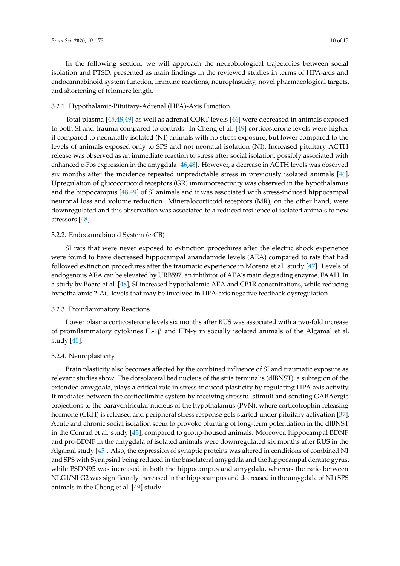In the following section, we will approach the neurobiological trajectories between social isolation and PTSD, presented as main findings in the reviewed studies in terms of HPA-axis and endocannabinoid system function, immune reactions, neuroplasticity, novel pharmacological targets, and shortening of telomere length.

# 3.2.1. Hypothalamic-Pituitary-Adrenal (HPA)-Axis Function

Total plasma [\[45,](#page-13-15)[48,](#page-14-3)[49\]](#page-14-0) as well as adrenal CORT levels [\[46\]](#page-13-16) were decreased in animals exposed to both SI and trauma compared to controls. In Cheng et al. [\[49\]](#page-14-0) corticosterone levels were higher if compared to neonatally isolated (NI) animals with no stress exposure, but lower compared to the levels of animals exposed only to SPS and not neonatal isolation (NI). Increased pituitary ACTH release was observed as an immediate reaction to stress after social isolation, possibly associated with enhanced c-Fos expression in the amygdala [\[46,](#page-13-16)[48\]](#page-14-3). However, a decrease in ACTH levels was observed six months after the incidence repeated unpredictable stress in previously isolated animals [\[46\]](#page-13-16). Upregulation of glucocorticoid receptors (GR) immunoreactivity was observed in the hypothalamus and the hippocampus [\[48](#page-14-3)[,49\]](#page-14-0) of SI animals and it was associated with stress-induced hippocampal neuronal loss and volume reduction. Mineralocorticoid receptors (MR), on the other hand, were downregulated and this observation was associated to a reduced resilience of isolated animals to new stressors [\[48\]](#page-14-3).

### 3.2.2. Endocannabinoid System (e-CB)

SI rats that were never exposed to extinction procedures after the electric shock experience were found to have decreased hippocampal anandamide levels (AEA) compared to rats that had followed extinction procedures after the traumatic experience in Morena et al. study [\[47\]](#page-14-2). Levels of endogenous AEA can be elevated by URB597, an inhibitor of AEA's main degrading enzyme, FAAH. In a study by Boero et al. [\[48\]](#page-14-3), SI increased hypothalamic AEA and CB1R concentrations, while reducing hypothalamic 2-AG levels that may be involved in HPA-axis negative feedback dysregulation.

### 3.2.3. Proinflammatory Reactions

Lower plasma corticosterone levels six months after RUS was associated with a two-fold increase of proinflammatory cytokines IL-1β and IFN-γ in socially isolated animals of the Algamal et al. study [\[45\]](#page-13-15).

# 3.2.4. Neuroplasticity

Brain plasticity also becomes affected by the combined influence of SI and traumatic exposure as relevant studies show. The dorsolateral bed nucleus of the stria terminalis (dlBNST), a subregion of the extended amygdala, plays a critical role in stress-induced plasticity by regulating HPA axis activity. It mediates between the corticolimbic system by receiving stressful stimuli and sending GABAergic projections to the paraventricular nucleus of the hypothalamus (PVN), where corticotrophin releasing hormone (CRH) is released and peripheral stress response gets started under pituitary activation [\[37\]](#page-13-9). Acute and chronic social isolation seem to provoke blunting of long-term potentiation in the dlBNST in the Conrad et al. study [\[43\]](#page-13-18), compared to group-housed animals. Moreover, hippocampal BDNF and pro-BDNF in the amygdala of isolated animals were downregulated six months after RUS in the Algamal study [\[45\]](#page-13-15). Also, the expression of synaptic proteins was altered in conditions of combined NI and SPS with Synapsin1 being reduced in the basolateral amygdala and the hippocampal dentate gyrus, while PSDN95 was increased in both the hippocampus and amygdala, whereas the ratio between NLG1/NLG2 was significantly increased in the hippocampus and decreased in the amygdala of NI+SPS animals in the Cheng et al. [\[49\]](#page-14-0) study.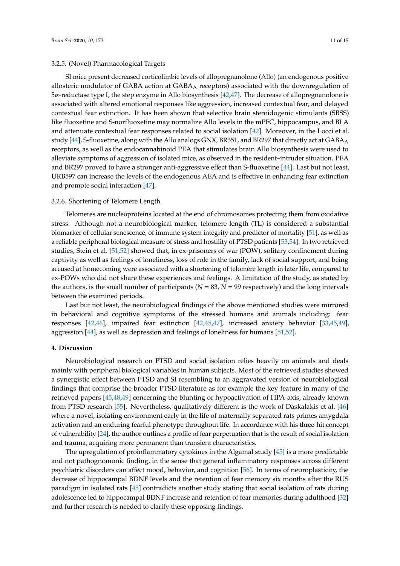# 3.2.5. (Novel) Pharmacological Targets

SI mice present decreased corticolimbic levels of allopregnanolone (Allo) (an endogenous positive allosteric modulator of GABA action at  $GABA_A$  receptors) associated with the downregulation of 5α-reductase type I, the step enzyme in Allo biosynthesis [\[42,](#page-13-14)[47\]](#page-14-2). The decrease of allopregnanolone is associated with altered emotional responses like aggression, increased contextual fear, and delayed contextual fear extinction. It has been shown that selective brain steroidogenic stimulants (SBSS) like fluoxetine and S-norfluoxetine may normalize Allo levels in the mPFC, hippocampus, and BLA and attenuate contextual fear responses related to social isolation [\[42\]](#page-13-14). Moreover, in the Locci et al. study [\[44\]](#page-13-17), S-fluoxetine, along with the Allo analogs GNX, BR351, and BR297 that directly act at  $GABA_A$ receptors, as well as the endocannabinoid PEA that stimulates brain Allo biosynthesis were used to alleviate symptoms of aggression of isolated mice, as observed in the resident–intruder situation. PEA and BR297 proved to have a stronger anti-aggressive effect than S-fluoxetine [\[44\]](#page-13-17). Last but not least, URB597 can increase the levels of the endogenous AEA and is effective in enhancing fear extinction and promote social interaction [\[47\]](#page-14-2).

# 3.2.6. Shortening of Telomere Length

Telomeres are nucleoproteins located at the end of chromosomes protecting them from oxidative stress. Although not a neurobiological marker, telomere length (TL) is considered a substantial biomarker of cellular senescence, of immune system integrity and predictor of mortality [\[51\]](#page-14-4), as well as a reliable peripheral biological measure of stress and hostility of PTSD patients [\[53,](#page-14-11)[54\]](#page-14-12). In two retrieved studies, Stein et al. [\[51,](#page-14-4)[52\]](#page-14-5) showed that, in ex-prisoners of war (POW), solitary confinement during captivity as well as feelings of loneliness, loss of role in the family, lack of social support, and being accused at homecoming were associated with a shortening of telomere length in later life, compared to ex-POWs who did not share these experiences and feelings. A limitation of the study, as stated by the authors, is the small number of participants ( $N = 83$ ,  $N = 99$  respectively) and the long intervals between the examined periods.

Last but not least, the neurobiological findings of the above mentioned studies were mirrored in behavioral and cognitive symptoms of the stressed humans and animals including: fear responses [\[42](#page-13-14)[,46\]](#page-13-16), impaired fear extinction [\[42](#page-13-14)[,45,](#page-13-15)[47\]](#page-14-2), increased anxiety behavior [\[33,](#page-13-5)[45,](#page-13-15)[49\]](#page-14-0), aggression [\[44\]](#page-13-17), as well as depression and feelings of loneliness for humans [\[51,](#page-14-4)[52\]](#page-14-5).

# **4. Discussion**

Neurobiological research on PTSD and social isolation relies heavily on animals and deals mainly with peripheral biological variables in human subjects. Most of the retrieved studies showed a synergistic effect between PTSD and SI resembling to an aggravated version of neurobiological findings that comprise the broader PTSD literature as for example the key feature in many of the retrieved papers [\[45,](#page-13-15)[48,](#page-14-3)[49\]](#page-14-0) concerning the blunting or hypoactivation of HPA-axis, already known from PTSD research [\[55\]](#page-14-13). Nevertheless, qualitatively different is the work of Daskalakis et al. [\[46\]](#page-13-16) where a novel, isolating environment early in the life of maternally separated rats primes amygdala activation and an enduring fearful phenotype throughout life. In accordance with his three-hit concept of vulnerability [\[24\]](#page-12-17), the author outlines a profile of fear perpetuation that is the result of social isolation and trauma, acquiring more permanent than transient characteristics.

The upregulation of proinflammatory cytokines in the Algamal study [\[45\]](#page-13-15) is a more predictable and not pathognomonic finding, in the sense that general inflammatory responses across different psychiatric disorders can affect mood, behavior, and cognition [\[56\]](#page-14-14). In terms of neuroplasticity, the decrease of hippocampal BDNF levels and the retention of fear memory six months after the RUS paradigm in isolated rats [\[45\]](#page-13-15) contradicts another study stating that social isolation of rats during adolescence led to hippocampal BDNF increase and retention of fear memories during adulthood [\[32\]](#page-13-4) and further research is needed to clarify these opposing findings.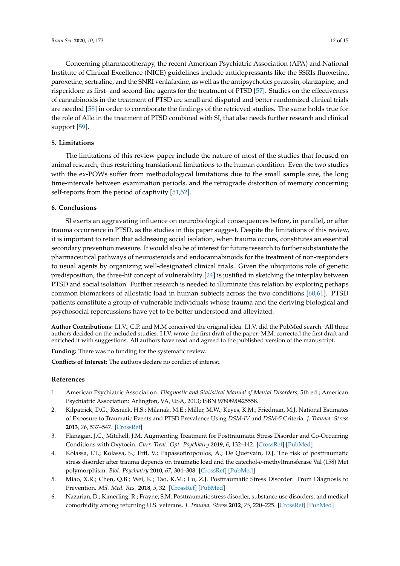Concerning pharmacotherapy, the recent American Psychiatric Association (APA) and National Institute of Clinical Excellence (NICE) guidelines include antidepressants like the SSRIs fluoxetine, paroxetine, sertraline, and the SNRI venlafaxine, as well as the antipsychotics prazosin, olanzapine, and risperidone as first- and second-line agents for the treatment of PTSD [\[57\]](#page-14-15). Studies on the effectiveness of cannabinoids in the treatment of PTSD are small and disputed and better randomized clinical trials are needed [\[58\]](#page-14-16) in order to corroborate the findings of the retrieved studies. The same holds true for the role of Allo in the treatment of PTSD combined with SI, that also needs further research and clinical support [\[59\]](#page-14-17).

# **5. Limitations**

The limitations of this review paper include the nature of most of the studies that focused on animal research, thus restricting translational limitations to the human condition. Even the two studies with the ex-POWs suffer from methodological limitations due to the small sample size, the long time-intervals between examination periods, and the retrograde distortion of memory concerning self-reports from the period of captivity [\[51,](#page-14-4)[52\]](#page-14-5).

# **6. Conclusions**

SI exerts an aggravating influence on neurobiological consequences before, in parallel, or after trauma occurrence in PTSD, as the studies in this paper suggest. Despite the limitations of this review, it is important to retain that addressing social isolation, when trauma occurs, constitutes an essential secondary prevention measure. It would also be of interest for future research to further substantiate the pharmaceutical pathways of neurosteroids and endocannabinoids for the treatment of non-responders to usual agents by organizing well-designated clinical trials. Given the ubiquitous role of genetic predisposition, the three-hit concept of vulnerability [\[24\]](#page-12-17) is justified in sketching the interplay between PTSD and social isolation. Further research is needed to illuminate this relation by exploring perhaps common biomarkers of allostatic load in human subjects across the two conditions [\[60](#page-14-18)[,61\]](#page-14-19). PTSD patients constitute a group of vulnerable individuals whose trauma and the deriving biological and psychosocial repercussions have yet to be better understood and alleviated.

**Author Contributions:** I.I.V., C.P. and M.M conceived the original idea. I.I.V. did the PubMed search. All three authors decided on the included studies. I.I.V. wrote the first draft of the paper. M.M. corrected the first draft and enriched it with suggestions. All authors have read and agreed to the published version of the manuscript.

**Funding:** There was no funding for the systematic review.

**Conflicts of Interest:** The authors declare no conflict of interest.

# **References**

- <span id="page-11-0"></span>1. American Psychiatric Association. *Diagnostic and Statistical Manual of Mental Disorders*, 5th ed.; American Psychiatric Association: Arlington, VA, USA, 2013; ISBN 9780890425558.
- <span id="page-11-1"></span>2. Kilpatrick, D.G.; Resnick, H.S.; Milanak, M.E.; Miller, M.W.; Keyes, K.M.; Friedman, M.J. National Estimates of Exposure to Traumatic Events and PTSD Prevalence Using *DSM-IV* and *DSM-5* Criteria. *J. Trauma. Stress* **2013**, *26*, 537–547. [\[CrossRef\]](http://dx.doi.org/10.1002/jts.21848)
- <span id="page-11-2"></span>3. Flanagan, J.C.; Mitchell, J.M. Augmenting Treatment for Posttraumatic Stress Disorder and Co-Occurring Conditions with Oxytocin. *Curr. Treat. Opt. Psychiatry* **2019**, *6*, 132–142. [\[CrossRef\]](http://dx.doi.org/10.1007/s40501-019-00171-1) [\[PubMed\]](http://www.ncbi.nlm.nih.gov/pubmed/31763133)
- <span id="page-11-3"></span>4. Kolassa, I.T.; Kolassa, S.; Ertl, V.; Papassotiropoulos, A.; De Quervain, D.J. The risk of posttraumatic stress disorder after trauma depends on traumatic load and the catechol-*o*-methyltransferase Val (158) Met polymorphism. *Biol. Psychiatry* **2010**, *67*, 304–308. [\[CrossRef\]](http://dx.doi.org/10.1016/j.biopsych.2009.10.009) [\[PubMed\]](http://www.ncbi.nlm.nih.gov/pubmed/19944409)
- <span id="page-11-4"></span>5. Miao, X.R.; Chen, Q.B.; Wei, K.; Tao, K.M.; Lu, Z.J. Posttraumatic Stress Disorder: From Diagnosis to Prevention. *Mil. Med. Res.* **2018**, *5*, 32. [\[CrossRef\]](http://dx.doi.org/10.1186/s40779-018-0179-0) [\[PubMed\]](http://www.ncbi.nlm.nih.gov/pubmed/30261912)
- <span id="page-11-5"></span>6. Nazarian, D.; Kimerling, R.; Frayne, S.M. Posttraumatic stress disorder, substance use disorders, and medical comorbidity among returning U.S. veterans. *J. Trauma. Stress* **2012**, *25*, 220–225. [\[CrossRef\]](http://dx.doi.org/10.1002/jts.21690) [\[PubMed\]](http://www.ncbi.nlm.nih.gov/pubmed/22522739)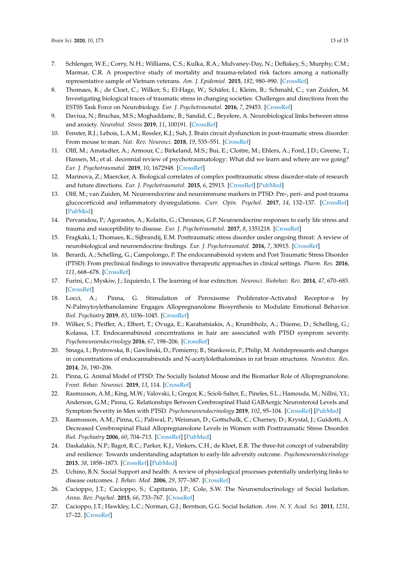- <span id="page-12-0"></span>7. Schlenger, W.E.; Corry, N.H.; Williams, C.S.; Kulka, R.A.; Mulvaney-Day, N.; DeBakey, S.; Murphy, C.M.; Marmar, C.R. A prospective study of mortality and trauma-related risk factors among a nationally representative sample of Vietnam veterans. *Am. J. Epidemiol.* **2015**, *182*, 980–990. [\[CrossRef\]](http://dx.doi.org/10.1093/aje/kwv217)
- <span id="page-12-1"></span>8. Thomaes, K.; de Cloet, C.; Wilker, S.; El-Hage, W.; Schäfer, I.; Kleim, B.; Schmahl, C.; van Zuiden, M. Investigating biological traces of traumatic stress in changing societies: Challenges and directions from the ESTSS Task Force on Neurobiology. *Eur. J. Psychotraumatol.* **2016**, *7*, 29453. [\[CrossRef\]](http://dx.doi.org/10.3402/ejpt.v7.29453)
- <span id="page-12-2"></span>9. Daviua, N.; Bruchas, M.S.; Moghaddamc, B.; Sandid, C.; Beyelere, A. Neurobiological links between stress and anxiety. *Neurobiol. Stress* **2019**, *11*, 100191. [\[CrossRef\]](http://dx.doi.org/10.1016/j.ynstr.2019.100191)
- <span id="page-12-3"></span>10. Fenster, R.J.; Lebois, L.A.M.; Ressler, K.J.; Suh, J. Brain circuit dysfunction in post-traumatic stress disorder: From mouse to man. *Nat. Rev. Neurosci.* **2018**, *19*, 535–551. [\[CrossRef\]](http://dx.doi.org/10.1038/s41583-018-0039-7)
- <span id="page-12-4"></span>11. Olff, M.; Amstadter, A.; Armour, C.; Birkeland, M.S.; Bui, E.; Cloitre, M.; Ehlers, A.; Ford, J.D.; Greene, T.; Hansen, M.; et al. decennial review of psychotraumatology: What did we learn and where are we going? *Eur. J. Psychotraumatol.* **2019**, *10*, 1672948. [\[CrossRef\]](http://dx.doi.org/10.1080/20008198.2019.1672948)
- <span id="page-12-5"></span>12. Marinova, Z.; Maercker, A. Biological correlates of complex posttraumatic stress disorder-state of research and future directions. *Eur. J. Psychotraumatol.* **2015**, *6*, 25913. [\[CrossRef\]](http://dx.doi.org/10.3402/ejpt.v6.25913) [\[PubMed\]](http://www.ncbi.nlm.nih.gov/pubmed/25887894)
- <span id="page-12-6"></span>13. Olff, M.; van Zuiden, M. Neuroendocrine and neuroimmune markers in PTSD: Pre-, peri- and post-trauma glucocorticoid and inflammatory dysregulations. *Curr. Opin. Psychol.* **2017**, *14*, 132–137. [\[CrossRef\]](http://dx.doi.org/10.1016/j.copsyc.2017.01.001) [\[PubMed\]](http://www.ncbi.nlm.nih.gov/pubmed/28813312)
- <span id="page-12-7"></span>14. Pervanidou, P.; Agorastos, A.; Kolaitis, G.; Chrousos, G.P. Neuroendocrine responses to early life stress and trauma and susceptibility to disease. *Eur. J. Psychotraumatol.* **2017**, *8*, 1351218. [\[CrossRef\]](http://dx.doi.org/10.1080/20008198.2017.1351218)
- <span id="page-12-8"></span>15. Fragkaki, I.; Thomaes, K.; Sijbrandij, E.M. Posttraumatic stress disorder under ongoing threat: A review of neurobiological and neuroendocrine findings. *Eur. J. Psychotraumatol.* **2016**, *7*, 30915. [\[CrossRef\]](http://dx.doi.org/10.3402/ejpt.v7.30915)
- <span id="page-12-9"></span>16. Berardi, A.; Schelling, G.; Campolongo, P. The endocannabinoid system and Post Traumatic Stress Disorder (PTSD): From preclinical findings to innovative therapeutic approaches in clinical settings. *Pharm. Res.* **2016**, *111*, 668–678. [\[CrossRef\]](http://dx.doi.org/10.1016/j.phrs.2016.07.024)
- <span id="page-12-10"></span>17. Furini, C.; Myskiw, J.; Izquierdo, I. The learning of fear extinction. *Neurosci. Biobehav. Rev.* **2014**, *47*, 670–683. [\[CrossRef\]](http://dx.doi.org/10.1016/j.neubiorev.2014.10.016)
- <span id="page-12-11"></span>18. Locci, A.; Pinna, G. Stimulation of Peroxisome Proliferator-Activated Receptor-α by N-Palmytoylethanolamine Engages Allopregnanolone Biosynthesis to Modulate Emotional Behavior. *Biol. Psychiatry* **2019**, *85*, 1036–1045. [\[CrossRef\]](http://dx.doi.org/10.1016/j.biopsych.2019.02.006)
- <span id="page-12-12"></span>19. Wilker, S.; Pfeiffer, A.; Elbert, T.; Ovuga, E.; Karabatsiakis, A.; Krumbholz, A.; Thieme, D.; Schelling, G.; Kolassa, I.T. Endocannabinoid concentrations in hair are associated with PTSD symprom severity. *Psychoneuroendocrinology* **2016**, *67*, 198–206. [\[CrossRef\]](http://dx.doi.org/10.1016/j.psyneuen.2016.02.010)
- <span id="page-12-13"></span>20. Smaga, I.; Bystrowska, B.; Gawlinski, D.; Pomierny, B.; Stankowiz, P.; Philip, M. Antidepressants and changes in concentrations of endocannabinoids and N-acetylolethalomines in rat brain structures. *Neurotox. Res.* **2014**, *26*, 190–206.
- <span id="page-12-14"></span>21. Pinna, G. Animal Model of PTSD: The Socially Isolated Mouse and the Biomarker Role of Allopregnanolone. *Front. Behav. Neurosci.* **2019**, *13*, 114. [\[CrossRef\]](http://dx.doi.org/10.3389/fnbeh.2019.00114)
- <span id="page-12-15"></span>22. Rasmusson, A.M.; King, M.W.; Valovski, I.; Gregor, K.; Scioli-Salter, E.; Pineles, S.L.; Hamouda, M.; Nillni, Y.I.; Anderson, G.M.; Pinna, G. Relationships Between Cerebrospinal Fluid GABAergic Neurosteroid Levels and Symptom Severity in Men with PTSD. *Psychoneuroendocrinology* **2019**, *102*, 95–104. [\[CrossRef\]](http://dx.doi.org/10.1016/j.psyneuen.2018.11.027) [\[PubMed\]](http://www.ncbi.nlm.nih.gov/pubmed/30529908)
- <span id="page-12-16"></span>23. Rasmusson, A.M.; Pinna, G.; Paliwal, P.; Weisman, D.; Gottschalk, C.; Charney, D.; Krystal, J.; Guidotti, A. Decreased Cerebrospinal Fluid Allopregnanolone Levels in Women with Posttraumatic Stress Disorder. *Biol. Psychiatry* **2006**, *60*, 704–713. [\[CrossRef\]](http://dx.doi.org/10.1016/j.biopsych.2006.03.026) [\[PubMed\]](http://www.ncbi.nlm.nih.gov/pubmed/16934764)
- <span id="page-12-17"></span>24. Daskalakis, N.P.; Bagot, R.C.; Parker, K.J.; Vinkers, C.H.; de Kloet, E.R. The three-hit concept of vulnerability and resilience: Towards understanding adaptation to early-life adversity outcome. *Psychoneuroendocrinology* **2013**, *38*, 1858–1873. [\[CrossRef\]](http://dx.doi.org/10.1016/j.psyneuen.2013.06.008) [\[PubMed\]](http://www.ncbi.nlm.nih.gov/pubmed/23838101)
- <span id="page-12-18"></span>25. Uchino, B.N. Social Support and health: A review of physiological processes potentially underlying links to disease outcomes. *J. Behav. Med.* **2006**, *29*, 377–387. [\[CrossRef\]](http://dx.doi.org/10.1007/s10865-006-9056-5)
- <span id="page-12-19"></span>26. Cacioppo, J.T.; Cacioppo, S.; Capitanio, J.P.; Cole, S.W. The Neuroendocrinology of Social Isolation. *Annu. Rev. Psychol.* **2015**, *66*, 733–767. [\[CrossRef\]](http://dx.doi.org/10.1146/annurev-psych-010814-015240)
- <span id="page-12-20"></span>27. Cacioppo, J.T.; Hawkley, L.C.; Norman, G.J.; Berntson, G.G. Social Isolation. *Ann. N. Y. Acad. Sci.* **2011**, *1231*, 17–22. [\[CrossRef\]](http://dx.doi.org/10.1111/j.1749-6632.2011.06028.x)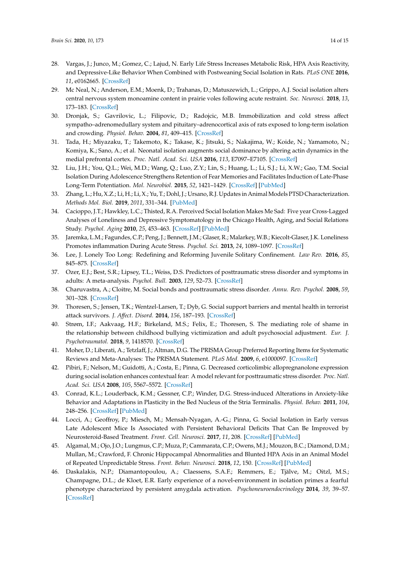- <span id="page-13-0"></span>28. Vargas, J.; Junco, M.; Gomez, C.; Lajud, N. Early Life Stress Increases Metabolic Risk, HPA Axis Reactivity, and Depressive-Like Behavior When Combined with Postweaning Social Isolation in Rats. *PLoS ONE* **2016**, *11*, e0162665. [\[CrossRef\]](http://dx.doi.org/10.1371/journal.pone.0162665)
- <span id="page-13-1"></span>29. Mc Neal, N.; Anderson, E.M.; Moenk, D.; Trahanas, D.; Matuszewich, L.; Grippo, A.J. Social isolation alters central nervous system monoamine content in prairie voles following acute restraint. *Soc. Neurosci.* **2018**, *13*, 173–183. [\[CrossRef\]](http://dx.doi.org/10.1080/17470919.2016.1276473)
- <span id="page-13-2"></span>30. Dronjak, S.; Gavrilovic, L.; Filipovic, D.; Radojcic, M.B. Immobilization and cold stress affect sympatho–adrenomedullary system and pituitary–adrenocortical axis of rats exposed to long-term isolation and crowding. *Physiol. Behav.* **2004**, *81*, 409–415. [\[CrossRef\]](http://dx.doi.org/10.1016/j.physbeh.2004.01.011)
- <span id="page-13-3"></span>31. Tada, H.; Miyazaku, T.; Takemoto, K.; Takase, K.; Jitsuki, S.; Nakajima, W.; Koide, N.; Yamamoto, N.; Komiya, K.; Sano, A.; et al. Neonatal isolation augments social dominance by altering actin dynamics in the medial prefrontal cortex. *Proc. Natl. Acad. Sci. USA* **2016**, *113*, E7097–E7105. [\[CrossRef\]](http://dx.doi.org/10.1073/pnas.1606351113)
- <span id="page-13-4"></span>32. Liu, J.H.; You, Q.L.; Wei, M.D.; Wang, Q.; Luo, Z.Y.; Lin, S.; Huang, L.; Li, S.J.; Li, X.W.; Gao, T.M. Social Isolation During Adolescence Strengthens Retention of Fear Memories and Facilitates Induction of Late-Phase Long-Term Potentiation. *Mol. Neurobiol.* **2015**, *52*, 1421–1429. [\[CrossRef\]](http://dx.doi.org/10.1007/s12035-014-8917-0) [\[PubMed\]](http://www.ncbi.nlm.nih.gov/pubmed/25860250)
- <span id="page-13-19"></span><span id="page-13-5"></span>33. Zhang, L.; Hu, X.Z.; Li, H.; Li, X.; Yu, T.; Dohl, J.; Ursano, R.J. Updates in Animal Models PTSD Characterization. *Methods Mol. Biol.* **2019**, *2011*, 331–344. [\[PubMed\]](http://www.ncbi.nlm.nih.gov/pubmed/31273708)
- <span id="page-13-6"></span>34. Cacioppo, J.T.; Hawkley, L.C.; Thisted, R.A. Perceived Social Isolation Makes Me Sad: Five year Cross-Lagged Analyses of Loneliness and Depressive Symptomatology in the Chicago Health, Aging, and Social Relations Study. *Psychol. Aging* **2010**, *25*, 453–463. [\[CrossRef\]](http://dx.doi.org/10.1037/a0017216) [\[PubMed\]](http://www.ncbi.nlm.nih.gov/pubmed/20545429)
- <span id="page-13-20"></span><span id="page-13-7"></span>35. Jaremka, L.M.; Fagundes, C.P.; Peng, J.; Bennett, J.M.; Glaser, R.; Malarkey, W.B.; Kiecolt-Glaser, J.K. Loneliness Promotes inflammation During Acute Stress. *Psychol. Sci.* **2013**, *24*, 1089–1097. [\[CrossRef\]](http://dx.doi.org/10.1177/0956797612464059)
- <span id="page-13-22"></span><span id="page-13-8"></span>36. Lee, J. Lonely Too Long: Redefining and Reforming Juvenile Solitary Confinement. *Law Rev.* **2016**, *85*, 845–875. [\[CrossRef\]](http://dx.doi.org/10.2139/ssrn.2715909)
- <span id="page-13-23"></span><span id="page-13-9"></span>37. Ozer, E.J.; Best, S.R.; Lipsey, T.L.; Weiss, D.S. Predictors of posttraumatic stress disorder and symptoms in adults: A meta-analysis. *Psychol. Bull.* **2003**, *129*, 52–73. [\[CrossRef\]](http://dx.doi.org/10.1037/0033-2909.129.1.52)
- <span id="page-13-10"></span>38. Charuvastra, A.; Cloitre, M. Social bonds and posttraumatic stress disorder. *Annu. Rev. Psychol.* **2008**, *59*, 301–328. [\[CrossRef\]](http://dx.doi.org/10.1146/annurev.psych.58.110405.085650)
- <span id="page-13-21"></span><span id="page-13-11"></span>39. Thoresen, S.; Jensen, T.K.; Wentzel-Larsen, T.; Dyb, G. Social support barriers and mental health in terrorist attack survivors. *J. A*ff*ect. Disord.* **2014**, *156*, 187–193. [\[CrossRef\]](http://dx.doi.org/10.1016/j.jad.2013.12.014)
- <span id="page-13-12"></span>40. Strøm, I.F.; Aakvaag, H.F.; Birkeland, M.S.; Felix, E.; Thoresen, S. The mediating role of shame in the relationship between childhood bullying victimization and adult psychosocial adjustment. *Eur. J. Psychotraumatol.* **2018**, *9*, 1418570. [\[CrossRef\]](http://dx.doi.org/10.1080/20008198.2017.1418570)
- <span id="page-13-13"></span>41. Moher, D.; Liberati, A.; Tetzlaff, J.; Altman, D.G. The PRISMA Group Preferred Reporting Items for Systematic Reviews and Meta-Analyses: The PRISMA Statement. *PLoS Med.* **2009**, *6*, e1000097. [\[CrossRef\]](http://dx.doi.org/10.1371/journal.pmed.1000097)
- <span id="page-13-14"></span>42. Pibiri, F.; Nelson, M.; Guidotti, A.; Costa, E.; Pinna, G. Decreased corticolimbic allopregnanolone expression during social isolation enhances contextual fear: A model relevant for posttraumatic stress disorder. *Proc. Natl. Acad. Sci. USA* **2008**, *105*, 5567–5572. [\[CrossRef\]](http://dx.doi.org/10.1073/pnas.0801853105)
- <span id="page-13-18"></span>43. Conrad, K.L.; Louderback, K.M.; Gessner, C.P.; Winder, D.G. Stress-induced Alterations in Anxiety-like Behavior and Adaptations in Plasticity in the Bed Nucleus of the Stria Terminalis. *Physiol. Behav.* **2011**, *104*, 248–256. [\[CrossRef\]](http://dx.doi.org/10.1016/j.physbeh.2011.03.001) [\[PubMed\]](http://www.ncbi.nlm.nih.gov/pubmed/21396387)
- <span id="page-13-17"></span>44. Locci, A.; Geoffroy, P.; Miesch, M.; Mensah-Nyagan, A.-G.; Pinna, G. Social Isolation in Early versus Late Adolescent Mice Is Associated with Persistent Behavioral Deficits That Can Be Improved by Neurosteroid-Based Treatment. *Front. Cell. Neurosci.* **2017**, *11*, 208. [\[CrossRef\]](http://dx.doi.org/10.3389/fncel.2017.00208) [\[PubMed\]](http://www.ncbi.nlm.nih.gov/pubmed/28900387)
- <span id="page-13-15"></span>45. Algamal, M.; Ojo, J.O.; Lungmus, C.P.; Muza, P.; Cammarata, C.P.; Owens, M.J.; Mouzon, B.C.; Diamond, D.M.; Mullan, M.; Crawford, F. Chronic Hippocampal Abnormalities and Blunted HPA Axis in an Animal Model of Repeated Unpredictable Stress. *Front. Behav. Neurosci.* **2018**, *12*, 150. [\[CrossRef\]](http://dx.doi.org/10.3389/fnbeh.2018.00150) [\[PubMed\]](http://www.ncbi.nlm.nih.gov/pubmed/30079015)
- <span id="page-13-16"></span>46. Daskalakis, N.P.; Diamantopoulou, A.; Claessens, S.A.F.; Remmers, E.; Tjälve, M.; Oitzl, M.S.; Champagne, D.L.; de Kloet, E.R. Early experience of a novel-environment in isolation primes a fearful phenotype characterized by persistent amygdala activation. *Psychoneuroendocrinology* **2014**, *39*, 39–57. [\[CrossRef\]](http://dx.doi.org/10.1016/j.psyneuen.2013.09.021)